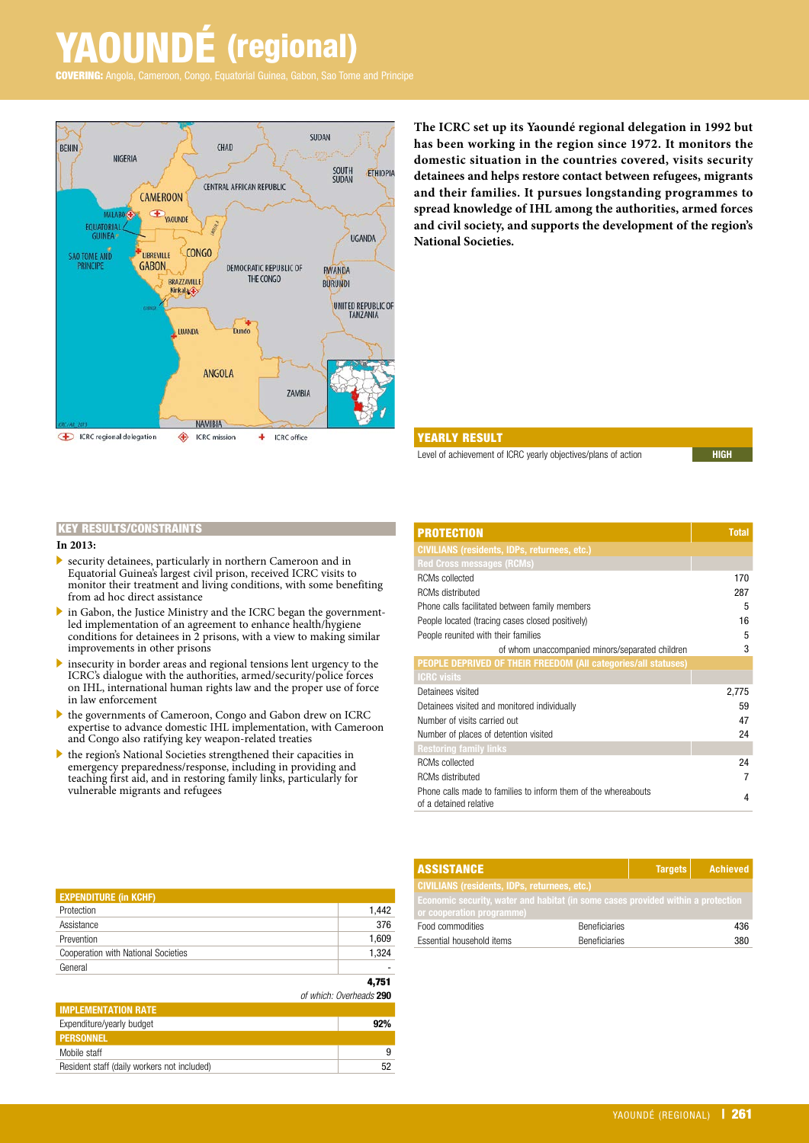# **UNDÉ** (regional)

Angola, Cameroon, Congo, Equatorial Guinea, Gabon, Sao Tome and Principe



**The ICRC set up its Yaoundé regional delegation in 1992 but has been working in the region since 1972. It monitors the domestic situation in the countries covered, visits security detainees and helps restore contact between refugees, migrants and their families. It pursues longstanding programmes to spread knowledge of IHL among the authorities, armed forces and civil society, and supports the development of the region's National Societies.**

#### YEARLY RESULT

Level of achievement of ICRC yearly objectives/plans of action

#### KEY RESULTS/CONSTRAINTS

#### **In 2013:**

- $\blacktriangleright$  security detainees, particularly in northern Cameroon and in Equatorial Guinea's largest civil prison, received ICRC visits to monitor their treatment and living conditions, with some benefiting from ad hoc direct assistance
- . in Gabon, the Justice Ministry and the ICRC began the governmentled implementation of an agreement to enhance health/hygiene conditions for detainees in  $\tilde{2}$  prisons, with a view to making similar improvements in other prisons
- $\triangleright$  insecurity in border areas and regional tensions lent urgency to the ICRC's dialogue with the authorities, armed/security/police forces on IHL, international human rights law and the proper use of force in law enforcement
- . the governments of Cameroon, Congo and Gabon drew on ICRC expertise to advance domestic IHL implementation, with Cameroon and Congo also ratifying key weapon-related treaties
- $\blacktriangleright$  the region's National Societies strengthened their capacities in emergency preparedness/response, including in providing and teaching first aid, and in restoring family links, particularly for vulnerable migrants and refugees

| <b>PROTECTION</b>                                                                        | <b>Total</b> |
|------------------------------------------------------------------------------------------|--------------|
| <b>CIVILIANS (residents, IDPs, returnees, etc.)</b>                                      |              |
| <b>Red Cross messages (RCMs)</b>                                                         |              |
| <b>RCMs collected</b>                                                                    | 170          |
| <b>RCMs distributed</b>                                                                  | 287          |
| Phone calls facilitated between family members                                           | 5            |
| People located (tracing cases closed positively)                                         | 16           |
| People reunited with their families                                                      | 5            |
| of whom unaccompanied minors/separated children                                          | 3            |
| PEOPLE DEPRIVED OF THEIR FREEDOM (All categories/all statuses)                           |              |
| <b>ICRC</b> visits                                                                       |              |
| Detainees visited                                                                        | 2,775        |
| Detainees visited and monitored individually                                             | 59           |
| Number of visits carried out                                                             | 47           |
| Number of places of detention visited                                                    | 24           |
| <b>Restoring family links</b>                                                            |              |
| <b>RCMs</b> collected                                                                    | 24           |
| <b>RCMs distributed</b>                                                                  | 7            |
| Phone calls made to families to inform them of the whereabouts<br>of a detained relative | 4            |

| <b>ASSISTANCE</b>                                                                                             |                      | <b>Targets</b> | Achieved |
|---------------------------------------------------------------------------------------------------------------|----------------------|----------------|----------|
| <b>CIVILIANS (residents, IDPs, returnees, etc.)</b>                                                           |                      |                |          |
| Economic security, water and habitat (in some cases provided within a protection<br>or cooperation programme) |                      |                |          |
| Food commodities                                                                                              | <b>Beneficiaries</b> |                | 436      |
| Essential household items                                                                                     | <b>Beneficiaries</b> |                | 380      |

| <b>EXPENDITURE (in KCHF)</b>        |                         |
|-------------------------------------|-------------------------|
| Protection                          | 1,442                   |
| Assistance                          | 376                     |
| Prevention                          | 1,609                   |
| Cooperation with National Societies | 1,324                   |
| General                             |                         |
|                                     | 4,751                   |
|                                     | of which: Overheads 290 |
| <b>IRADI FRAFRITATIONI DATE</b>     |                         |

| <b>IMPLEMENTATION RATE</b>                  |     |
|---------------------------------------------|-----|
| Expenditure/yearly budget                   | 92% |
| <b>PERSONNEL</b>                            |     |
| Mobile staff                                |     |
| Resident staff (daily workers not included) | 52  |
|                                             |     |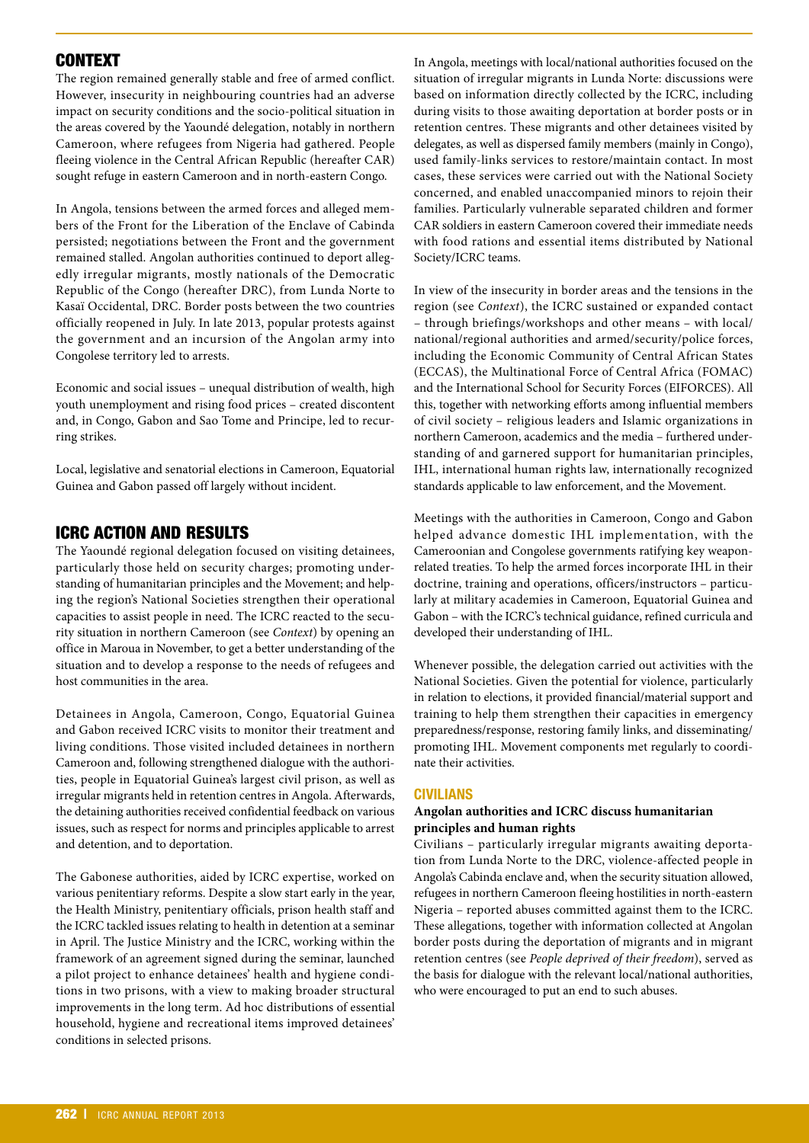# CONTEXT

The region remained generally stable and free of armed conflict. However, insecurity in neighbouring countries had an adverse impact on security conditions and the socio-political situation in the areas covered by the Yaoundé delegation, notably in northern Cameroon, where refugees from Nigeria had gathered. People fleeing violence in the Central African Republic (hereafter CAR) sought refuge in eastern Cameroon and in north-eastern Congo.

In Angola, tensions between the armed forces and alleged members of the Front for the Liberation of the Enclave of Cabinda persisted; negotiations between the Front and the government remained stalled. Angolan authorities continued to deport allegedly irregular migrants, mostly nationals of the Democratic Republic of the Congo (hereafter DRC), from Lunda Norte to Kasaï Occidental, DRC. Border posts between the two countries officially reopened in July. In late 2013, popular protests against the government and an incursion of the Angolan army into Congolese territory led to arrests.

Economic and social issues – unequal distribution of wealth, high youth unemployment and rising food prices – created discontent and, in Congo, Gabon and Sao Tome and Principe, led to recurring strikes.

Local, legislative and senatorial elections in Cameroon, Equatorial Guinea and Gabon passed off largely without incident.

# ICRC ACTION AND RESULTS

The Yaoundé regional delegation focused on visiting detainees, particularly those held on security charges; promoting understanding of humanitarian principles and the Movement; and helping the region's National Societies strengthen their operational capacities to assist people in need. The ICRC reacted to the security situation in northern Cameroon (see *Context*) by opening an office in Maroua in November, to get a better understanding of the situation and to develop a response to the needs of refugees and host communities in the area.

Detainees in Angola, Cameroon, Congo, Equatorial Guinea and Gabon received ICRC visits to monitor their treatment and living conditions. Those visited included detainees in northern Cameroon and, following strengthened dialogue with the authorities, people in Equatorial Guinea's largest civil prison, as well as irregular migrants held in retention centres in Angola. Afterwards, the detaining authorities received confidential feedback on various issues, such as respect for norms and principles applicable to arrest and detention, and to deportation.

The Gabonese authorities, aided by ICRC expertise, worked on various penitentiary reforms. Despite a slow start early in the year, the Health Ministry, penitentiary officials, prison health staff and the ICRC tackled issues relating to health in detention at a seminar in April. The Justice Ministry and the ICRC, working within the framework of an agreement signed during the seminar, launched a pilot project to enhance detainees' health and hygiene conditions in two prisons, with a view to making broader structural improvements in the long term. Ad hoc distributions of essential household, hygiene and recreational items improved detainees' conditions in selected prisons.

In Angola, meetings with local/national authorities focused on the situation of irregular migrants in Lunda Norte: discussions were based on information directly collected by the ICRC, including during visits to those awaiting deportation at border posts or in retention centres. These migrants and other detainees visited by delegates, as well as dispersed family members (mainly in Congo), used family-links services to restore/maintain contact. In most cases, these services were carried out with the National Society concerned, and enabled unaccompanied minors to rejoin their families. Particularly vulnerable separated children and former CAR soldiers in eastern Cameroon covered their immediate needs with food rations and essential items distributed by National Society/ICRC teams.

In view of the insecurity in border areas and the tensions in the region (see *Context*), the ICRC sustained or expanded contact – through briefings/workshops and other means – with local/ national/regional authorities and armed/security/police forces, including the Economic Community of Central African States (ECCAS), the Multinational Force of Central Africa (FOMAC) and the International School for Security Forces (EIFORCES). All this, together with networking efforts among influential members of civil society – religious leaders and Islamic organizations in northern Cameroon, academics and the media – furthered understanding of and garnered support for humanitarian principles, IHL, international human rights law, internationally recognized standards applicable to law enforcement, and the Movement.

Meetings with the authorities in Cameroon, Congo and Gabon helped advance domestic IHL implementation, with the Cameroonian and Congolese governments ratifying key weaponrelated treaties. To help the armed forces incorporate IHL in their doctrine, training and operations, officers/instructors – particularly at military academies in Cameroon, Equatorial Guinea and Gabon – with the ICRC's technical guidance, refined curricula and developed their understanding of IHL.

Whenever possible, the delegation carried out activities with the National Societies. Given the potential for violence, particularly in relation to elections, it provided financial/material support and training to help them strengthen their capacities in emergency preparedness/response, restoring family links, and disseminating/ promoting IHL. Movement components met regularly to coordinate their activities.

#### **CIVILIANS**

#### **Angolan authorities and ICRC discuss humanitarian principles and human rights**

Civilians – particularly irregular migrants awaiting deportation from Lunda Norte to the DRC, violence-affected people in Angola's Cabinda enclave and, when the security situation allowed, refugees in northern Cameroon fleeing hostilities in north-eastern Nigeria – reported abuses committed against them to the ICRC. These allegations, together with information collected at Angolan border posts during the deportation of migrants and in migrant retention centres (see *People deprived of their freedom*), served as the basis for dialogue with the relevant local/national authorities, who were encouraged to put an end to such abuses.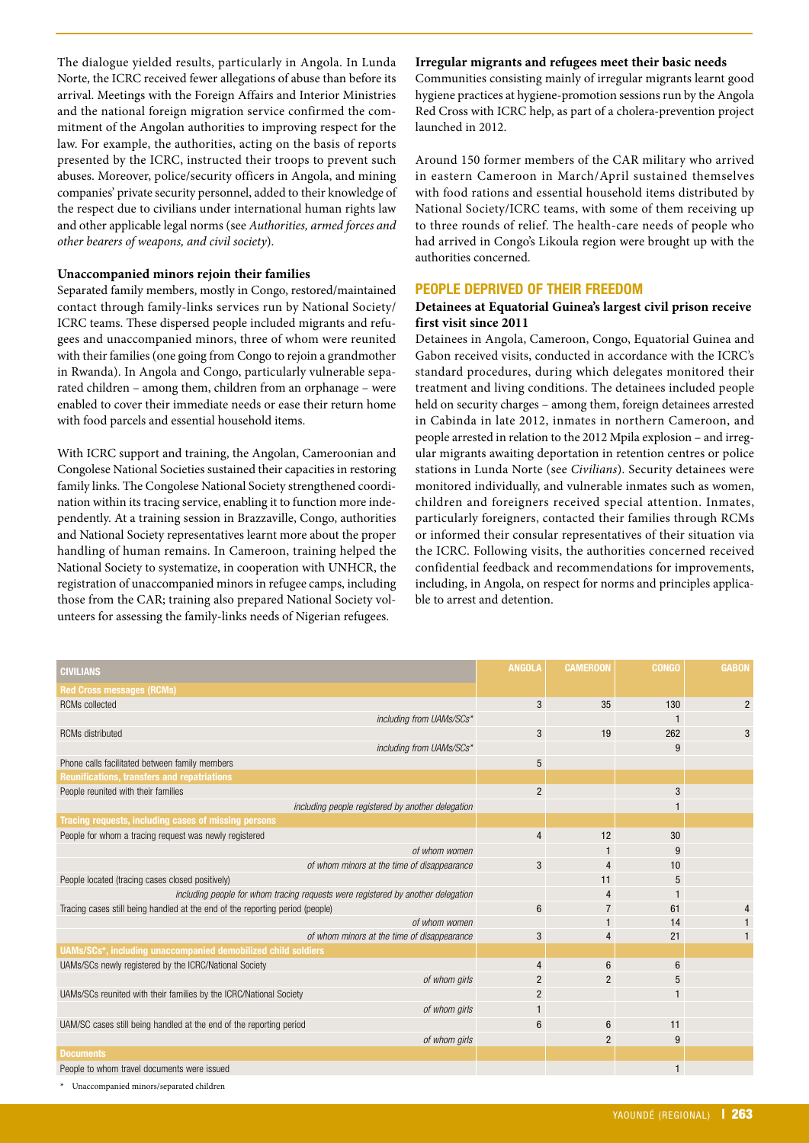The dialogue yielded results, particularly in Angola. In Lunda Norte, the ICRC received fewer allegations of abuse than before its arrival. Meetings with the Foreign Affairs and Interior Ministries and the national foreign migration service confirmed the commitment of the Angolan authorities to improving respect for the law. For example, the authorities, acting on the basis of reports presented by the ICRC, instructed their troops to prevent such abuses. Moreover, police/security officers in Angola, and mining companies' private security personnel, added to their knowledge of the respect due to civilians under international human rights law and other applicable legal norms (see *Authorities, armed forces and other bearers of weapons, and civil society*).

#### **Unaccompanied minors rejoin their families**

Separated family members, mostly in Congo, restored/maintained contact through family-links services run by National Society/ ICRC teams. These dispersed people included migrants and refugees and unaccompanied minors, three of whom were reunited with their families (one going from Congo to rejoin a grandmother in Rwanda). In Angola and Congo, particularly vulnerable separated children – among them, children from an orphanage – were enabled to cover their immediate needs or ease their return home with food parcels and essential household items.

With ICRC support and training, the Angolan, Cameroonian and Congolese National Societies sustained their capacities in restoring family links. The Congolese National Society strengthened coordination within its tracing service, enabling it to function more independently. At a training session in Brazzaville, Congo, authorities and National Society representatives learnt more about the proper handling of human remains. In Cameroon, training helped the National Society to systematize, in cooperation with UNHCR, the registration of unaccompanied minors in refugee camps, including those from the CAR; training also prepared National Society volunteers for assessing the family-links needs of Nigerian refugees.

#### **Irregular migrants and refugees meet their basic needs**

Communities consisting mainly of irregular migrants learnt good hygiene practices at hygiene-promotion sessions run by the Angola Red Cross with ICRC help, as part of a cholera-prevention project launched in 2012.

Around 150 former members of the CAR military who arrived in eastern Cameroon in March/April sustained themselves with food rations and essential household items distributed by National Society/ICRC teams, with some of them receiving up to three rounds of relief. The health-care needs of people who had arrived in Congo's Likoula region were brought up with the authorities concerned.

#### **PEOPLE DEPRIVED OF THEIR FREEDOM**

#### **Detainees at Equatorial Guinea's largest civil prison receive first visit since 2011**

Detainees in Angola, Cameroon, Congo, Equatorial Guinea and Gabon received visits, conducted in accordance with the ICRC's standard procedures, during which delegates monitored their treatment and living conditions. The detainees included people held on security charges – among them, foreign detainees arrested in Cabinda in late 2012, inmates in northern Cameroon, and people arrested in relation to the 2012 Mpila explosion – and irregular migrants awaiting deportation in retention centres or police stations in Lunda Norte (see *Civilians*). Security detainees were monitored individually, and vulnerable inmates such as women, children and foreigners received special attention. Inmates, particularly foreigners, contacted their families through RCMs or informed their consular representatives of their situation via the ICRC. Following visits, the authorities concerned received confidential feedback and recommendations for improvements, including, in Angola, on respect for norms and principles applicable to arrest and detention.

| <b>Red Cross messages (RCMs)</b><br>3<br>35<br>130<br>$\overline{2}$<br><b>RCMs</b> collected<br>including from UAMs/SCs*<br>3<br>19<br>262<br><b>RCMs</b> distributed<br>3<br>including from UAMs/SCs*<br>9<br>Phone calls facilitated between family members<br>5<br><b>Reunifications, transfers and repatriations</b><br>People reunited with their families<br>$\overline{2}$<br>3<br>including people registered by another delegation<br>Tracing requests, including cases of missing persons<br>12<br>30<br>People for whom a tracing request was newly registered<br>$\overline{4}$<br>of whom women<br>9<br>of whom minors at the time of disappearance<br>3<br>10<br>4<br>People located (tracing cases closed positively)<br>11<br>5<br>including people for whom tracing requests were registered by another delegation<br>4<br>Tracing cases still being handled at the end of the reporting period (people)<br>6<br>$\overline{7}$<br>61<br>of whom women<br>14<br>of whom minors at the time of disappearance<br>3<br>21<br>4<br>UAMs/SCs*, including unaccompanied demobilized child soldiers<br>UAMs/SCs newly registered by the ICRC/National Society<br>6<br>$\overline{4}$<br>6<br>of whom girls<br>$\overline{c}$<br>2<br>5<br>UAMs/SCs reunited with their families by the ICRC/National Society<br>2<br>of whom girls<br>UAM/SC cases still being handled at the end of the reporting period<br>6<br>11<br>6<br>of whom girls<br>2<br>9<br><b>Documents</b><br>People to whom travel documents were issued<br>$\mathbf{1}$ | <b>CIVILIANS</b> | <b>ANGOLA</b> | <b>CAMEROON</b> | <b>CONGO</b> | <b>GABON</b> |
|----------------------------------------------------------------------------------------------------------------------------------------------------------------------------------------------------------------------------------------------------------------------------------------------------------------------------------------------------------------------------------------------------------------------------------------------------------------------------------------------------------------------------------------------------------------------------------------------------------------------------------------------------------------------------------------------------------------------------------------------------------------------------------------------------------------------------------------------------------------------------------------------------------------------------------------------------------------------------------------------------------------------------------------------------------------------------------------------------------------------------------------------------------------------------------------------------------------------------------------------------------------------------------------------------------------------------------------------------------------------------------------------------------------------------------------------------------------------------------------------------------------------------------------------------|------------------|---------------|-----------------|--------------|--------------|
|                                                                                                                                                                                                                                                                                                                                                                                                                                                                                                                                                                                                                                                                                                                                                                                                                                                                                                                                                                                                                                                                                                                                                                                                                                                                                                                                                                                                                                                                                                                                                    |                  |               |                 |              |              |
|                                                                                                                                                                                                                                                                                                                                                                                                                                                                                                                                                                                                                                                                                                                                                                                                                                                                                                                                                                                                                                                                                                                                                                                                                                                                                                                                                                                                                                                                                                                                                    |                  |               |                 |              |              |
|                                                                                                                                                                                                                                                                                                                                                                                                                                                                                                                                                                                                                                                                                                                                                                                                                                                                                                                                                                                                                                                                                                                                                                                                                                                                                                                                                                                                                                                                                                                                                    |                  |               |                 |              |              |
|                                                                                                                                                                                                                                                                                                                                                                                                                                                                                                                                                                                                                                                                                                                                                                                                                                                                                                                                                                                                                                                                                                                                                                                                                                                                                                                                                                                                                                                                                                                                                    |                  |               |                 |              |              |
|                                                                                                                                                                                                                                                                                                                                                                                                                                                                                                                                                                                                                                                                                                                                                                                                                                                                                                                                                                                                                                                                                                                                                                                                                                                                                                                                                                                                                                                                                                                                                    |                  |               |                 |              |              |
|                                                                                                                                                                                                                                                                                                                                                                                                                                                                                                                                                                                                                                                                                                                                                                                                                                                                                                                                                                                                                                                                                                                                                                                                                                                                                                                                                                                                                                                                                                                                                    |                  |               |                 |              |              |
|                                                                                                                                                                                                                                                                                                                                                                                                                                                                                                                                                                                                                                                                                                                                                                                                                                                                                                                                                                                                                                                                                                                                                                                                                                                                                                                                                                                                                                                                                                                                                    |                  |               |                 |              |              |
|                                                                                                                                                                                                                                                                                                                                                                                                                                                                                                                                                                                                                                                                                                                                                                                                                                                                                                                                                                                                                                                                                                                                                                                                                                                                                                                                                                                                                                                                                                                                                    |                  |               |                 |              |              |
|                                                                                                                                                                                                                                                                                                                                                                                                                                                                                                                                                                                                                                                                                                                                                                                                                                                                                                                                                                                                                                                                                                                                                                                                                                                                                                                                                                                                                                                                                                                                                    |                  |               |                 |              |              |
|                                                                                                                                                                                                                                                                                                                                                                                                                                                                                                                                                                                                                                                                                                                                                                                                                                                                                                                                                                                                                                                                                                                                                                                                                                                                                                                                                                                                                                                                                                                                                    |                  |               |                 |              |              |
|                                                                                                                                                                                                                                                                                                                                                                                                                                                                                                                                                                                                                                                                                                                                                                                                                                                                                                                                                                                                                                                                                                                                                                                                                                                                                                                                                                                                                                                                                                                                                    |                  |               |                 |              |              |
|                                                                                                                                                                                                                                                                                                                                                                                                                                                                                                                                                                                                                                                                                                                                                                                                                                                                                                                                                                                                                                                                                                                                                                                                                                                                                                                                                                                                                                                                                                                                                    |                  |               |                 |              |              |
|                                                                                                                                                                                                                                                                                                                                                                                                                                                                                                                                                                                                                                                                                                                                                                                                                                                                                                                                                                                                                                                                                                                                                                                                                                                                                                                                                                                                                                                                                                                                                    |                  |               |                 |              |              |
|                                                                                                                                                                                                                                                                                                                                                                                                                                                                                                                                                                                                                                                                                                                                                                                                                                                                                                                                                                                                                                                                                                                                                                                                                                                                                                                                                                                                                                                                                                                                                    |                  |               |                 |              |              |
|                                                                                                                                                                                                                                                                                                                                                                                                                                                                                                                                                                                                                                                                                                                                                                                                                                                                                                                                                                                                                                                                                                                                                                                                                                                                                                                                                                                                                                                                                                                                                    |                  |               |                 |              |              |
|                                                                                                                                                                                                                                                                                                                                                                                                                                                                                                                                                                                                                                                                                                                                                                                                                                                                                                                                                                                                                                                                                                                                                                                                                                                                                                                                                                                                                                                                                                                                                    |                  |               |                 |              |              |
|                                                                                                                                                                                                                                                                                                                                                                                                                                                                                                                                                                                                                                                                                                                                                                                                                                                                                                                                                                                                                                                                                                                                                                                                                                                                                                                                                                                                                                                                                                                                                    |                  |               |                 |              |              |
|                                                                                                                                                                                                                                                                                                                                                                                                                                                                                                                                                                                                                                                                                                                                                                                                                                                                                                                                                                                                                                                                                                                                                                                                                                                                                                                                                                                                                                                                                                                                                    |                  |               |                 |              |              |
|                                                                                                                                                                                                                                                                                                                                                                                                                                                                                                                                                                                                                                                                                                                                                                                                                                                                                                                                                                                                                                                                                                                                                                                                                                                                                                                                                                                                                                                                                                                                                    |                  |               |                 |              |              |
|                                                                                                                                                                                                                                                                                                                                                                                                                                                                                                                                                                                                                                                                                                                                                                                                                                                                                                                                                                                                                                                                                                                                                                                                                                                                                                                                                                                                                                                                                                                                                    |                  |               |                 |              |              |
|                                                                                                                                                                                                                                                                                                                                                                                                                                                                                                                                                                                                                                                                                                                                                                                                                                                                                                                                                                                                                                                                                                                                                                                                                                                                                                                                                                                                                                                                                                                                                    |                  |               |                 |              |              |
|                                                                                                                                                                                                                                                                                                                                                                                                                                                                                                                                                                                                                                                                                                                                                                                                                                                                                                                                                                                                                                                                                                                                                                                                                                                                                                                                                                                                                                                                                                                                                    |                  |               |                 |              |              |
|                                                                                                                                                                                                                                                                                                                                                                                                                                                                                                                                                                                                                                                                                                                                                                                                                                                                                                                                                                                                                                                                                                                                                                                                                                                                                                                                                                                                                                                                                                                                                    |                  |               |                 |              |              |
|                                                                                                                                                                                                                                                                                                                                                                                                                                                                                                                                                                                                                                                                                                                                                                                                                                                                                                                                                                                                                                                                                                                                                                                                                                                                                                                                                                                                                                                                                                                                                    |                  |               |                 |              |              |
|                                                                                                                                                                                                                                                                                                                                                                                                                                                                                                                                                                                                                                                                                                                                                                                                                                                                                                                                                                                                                                                                                                                                                                                                                                                                                                                                                                                                                                                                                                                                                    |                  |               |                 |              |              |
|                                                                                                                                                                                                                                                                                                                                                                                                                                                                                                                                                                                                                                                                                                                                                                                                                                                                                                                                                                                                                                                                                                                                                                                                                                                                                                                                                                                                                                                                                                                                                    |                  |               |                 |              |              |
|                                                                                                                                                                                                                                                                                                                                                                                                                                                                                                                                                                                                                                                                                                                                                                                                                                                                                                                                                                                                                                                                                                                                                                                                                                                                                                                                                                                                                                                                                                                                                    |                  |               |                 |              |              |

**\*** Unaccompanied minors/separated children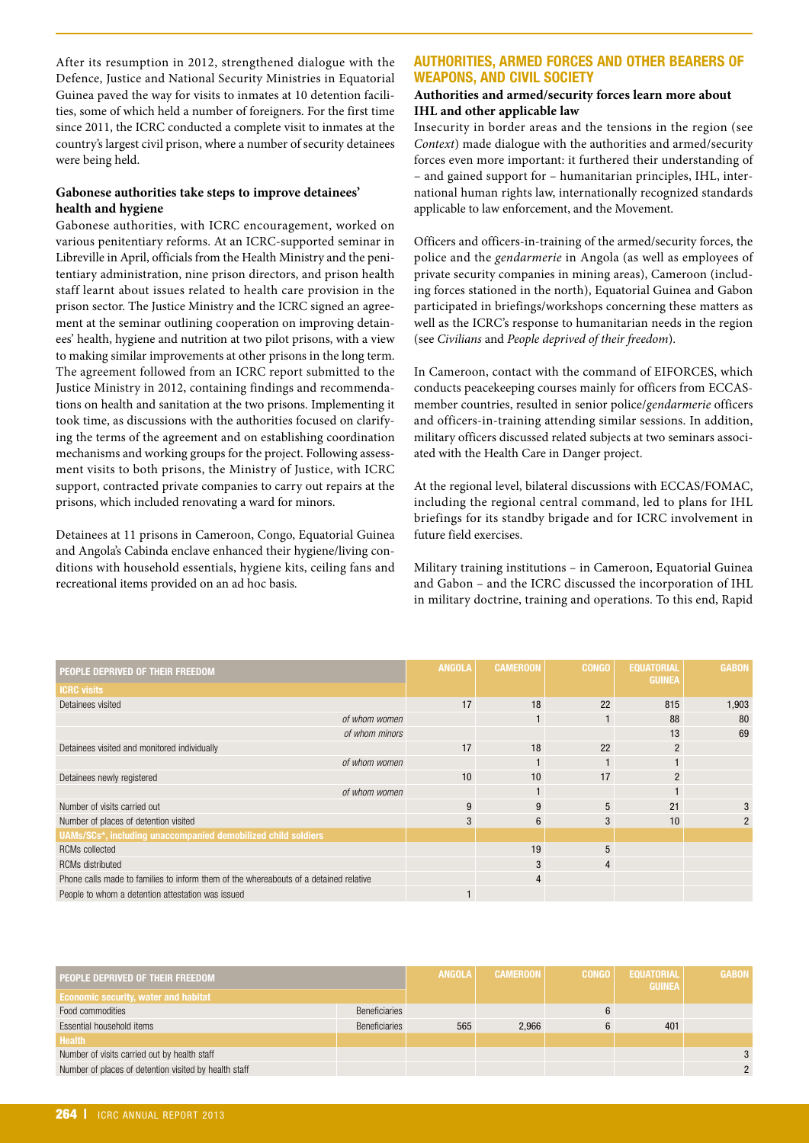After its resumption in 2012, strengthened dialogue with the Defence, Justice and National Security Ministries in Equatorial Guinea paved the way for visits to inmates at 10 detention facilities, some of which held a number of foreigners. For the first time since 2011, the ICRC conducted a complete visit to inmates at the country's largest civil prison, where a number of security detainees were being held.

#### **Gabonese authorities take steps to improve detainees' health and hygiene**

Gabonese authorities, with ICRC encouragement, worked on various penitentiary reforms. At an ICRC-supported seminar in Libreville in April, officials from the Health Ministry and the penitentiary administration, nine prison directors, and prison health staff learnt about issues related to health care provision in the prison sector. The Justice Ministry and the ICRC signed an agreement at the seminar outlining cooperation on improving detainees' health, hygiene and nutrition at two pilot prisons, with a view to making similar improvements at other prisons in the long term. The agreement followed from an ICRC report submitted to the Justice Ministry in 2012, containing findings and recommendations on health and sanitation at the two prisons. Implementing it took time, as discussions with the authorities focused on clarifying the terms of the agreement and on establishing coordination mechanisms and working groups for the project. Following assessment visits to both prisons, the Ministry of Justice, with ICRC support, contracted private companies to carry out repairs at the prisons, which included renovating a ward for minors.

Detainees at 11 prisons in Cameroon, Congo, Equatorial Guinea and Angola's Cabinda enclave enhanced their hygiene/living conditions with household essentials, hygiene kits, ceiling fans and recreational items provided on an ad hoc basis.

## **AUTHORITIES, ARMED FORCES AND OTHER BEARERS OF WEAPONS, AND CIVIL SOCIETY**

### **Authorities and armed/security forces learn more about IHL and other applicable law**

Insecurity in border areas and the tensions in the region (see *Context*) made dialogue with the authorities and armed/security forces even more important: it furthered their understanding of – and gained support for – humanitarian principles, IHL, international human rights law, internationally recognized standards applicable to law enforcement, and the Movement.

Officers and officers-in-training of the armed/security forces, the police and the *gendarmerie* in Angola (as well as employees of private security companies in mining areas), Cameroon (including forces stationed in the north), Equatorial Guinea and Gabon participated in briefings/workshops concerning these matters as well as the ICRC's response to humanitarian needs in the region (see *Civilians* and *People deprived of their freedom*).

In Cameroon, contact with the command of EIFORCES, which conducts peacekeeping courses mainly for officers from ECCASmember countries, resulted in senior police/*gendarmerie* officers and officers-in-training attending similar sessions. In addition, military officers discussed related subjects at two seminars associated with the Health Care in Danger project.

At the regional level, bilateral discussions with ECCAS/FOMAC, including the regional central command, led to plans for IHL briefings for its standby brigade and for ICRC involvement in future field exercises.

Military training institutions – in Cameroon, Equatorial Guinea and Gabon – and the ICRC discussed the incorporation of IHL in military doctrine, training and operations. To this end, Rapid

| PEOPLE DEPRIVED OF THEIR FREEDOM                                                      | <b>ANGOLA</b> | <b>CAMEROON</b> | <b>CONGO</b> | <b>EQUATORIAL</b><br><b>GUINEA</b> | <b>GABON</b>  |
|---------------------------------------------------------------------------------------|---------------|-----------------|--------------|------------------------------------|---------------|
| <b>ICRC visits</b>                                                                    |               |                 |              |                                    |               |
| Detainees visited                                                                     | 17            | 18              | 22           | 815                                | 1,903         |
| of whom women                                                                         |               |                 |              | 88                                 | 80            |
| of whom minors                                                                        |               |                 |              | 13                                 | 69            |
| Detainees visited and monitored individually                                          | 17            | 18              | 22           | $\overline{2}$                     |               |
| of whom women                                                                         |               |                 |              | $\mathbf{1}$                       |               |
| Detainees newly registered                                                            | 10            | 10              | 17           | $\overline{2}$                     |               |
| of whom women                                                                         |               |                 |              |                                    |               |
| Number of visits carried out                                                          | 9             | 9               | 5            | 21                                 |               |
| Number of places of detention visited                                                 | 3             | 6               | 3            | 10                                 | $\mathcal{P}$ |
| UAMs/SCs*, including unaccompanied demobilized child soldiers                         |               |                 |              |                                    |               |
| <b>RCMs</b> collected                                                                 |               | 19              | 5            |                                    |               |
| <b>RCMs distributed</b>                                                               |               | 3               | 4            |                                    |               |
| Phone calls made to families to inform them of the whereabouts of a detained relative |               | $\overline{4}$  |              |                                    |               |
| People to whom a detention attestation was issued                                     |               |                 |              |                                    |               |

| PEOPLE DEPRIVED OF THEIR FREEDOM<br><b>Economic security, water and habitat</b> |                      | <b>ANGOLA</b> | <b>CAMEROON</b> | <b>CONGO</b> | <b>EQUATORIAL</b><br><b>GUINEA</b> | <b>GABON</b> |
|---------------------------------------------------------------------------------|----------------------|---------------|-----------------|--------------|------------------------------------|--------------|
| Food commodities                                                                | Beneficiaries        |               |                 |              |                                    |              |
| Essential household items                                                       | <b>Beneficiaries</b> | 565           | 2.966           | 6            | 401                                |              |
| <b>Health</b>                                                                   |                      |               |                 |              |                                    |              |
| Number of visits carried out by health staff                                    |                      |               |                 |              |                                    |              |
| Number of places of detention visited by health staff                           |                      |               |                 |              |                                    |              |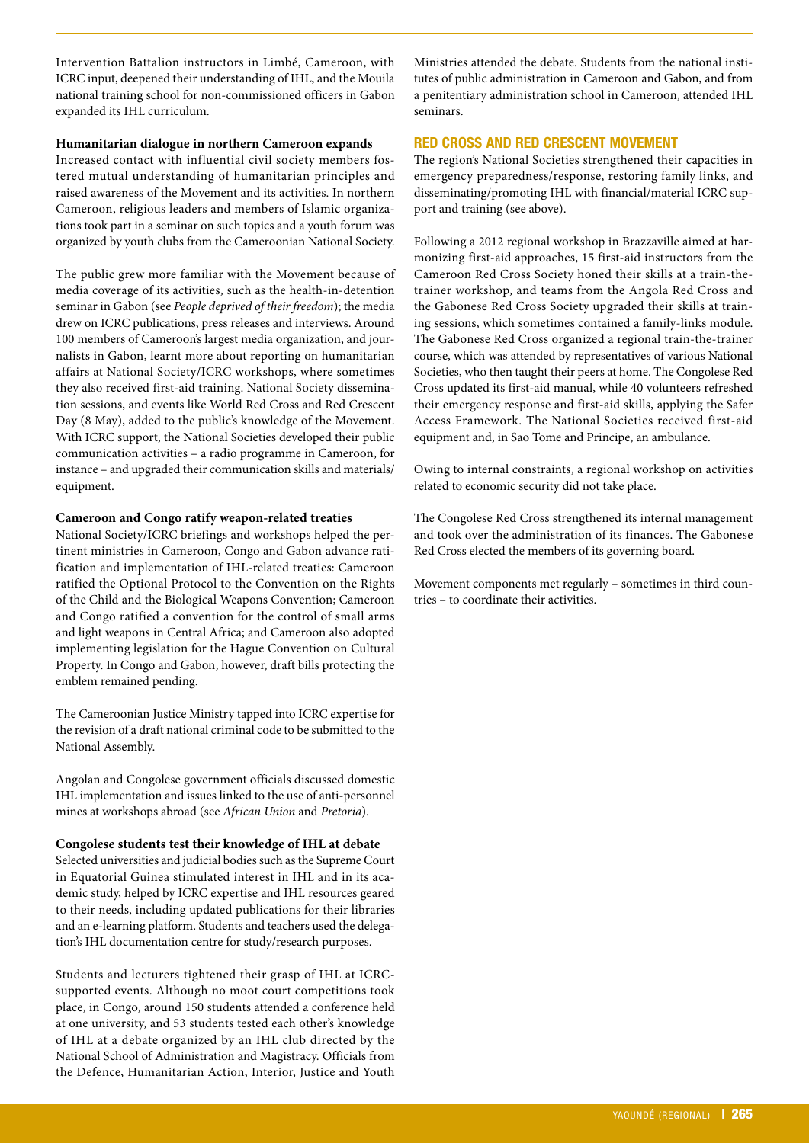Intervention Battalion instructors in Limbé, Cameroon, with ICRC input, deepened their understanding of IHL, and the Mouila national training school for non-commissioned officers in Gabon expanded its IHL curriculum.

#### **Humanitarian dialogue in northern Cameroon expands**

Increased contact with influential civil society members fostered mutual understanding of humanitarian principles and raised awareness of the Movement and its activities. In northern Cameroon, religious leaders and members of Islamic organizations took part in a seminar on such topics and a youth forum was organized by youth clubs from the Cameroonian National Society.

The public grew more familiar with the Movement because of media coverage of its activities, such as the health-in-detention seminar in Gabon (see *People deprived of their freedom*); the media drew on ICRC publications, press releases and interviews. Around 100 members of Cameroon's largest media organization, and journalists in Gabon, learnt more about reporting on humanitarian affairs at National Society/ICRC workshops, where sometimes they also received first-aid training. National Society dissemination sessions, and events like World Red Cross and Red Crescent Day (8 May), added to the public's knowledge of the Movement. With ICRC support, the National Societies developed their public communication activities – a radio programme in Cameroon, for instance – and upgraded their communication skills and materials/ equipment.

#### **Cameroon and Congo ratify weapon-related treaties**

National Society/ICRC briefings and workshops helped the pertinent ministries in Cameroon, Congo and Gabon advance ratification and implementation of IHL-related treaties: Cameroon ratified the Optional Protocol to the Convention on the Rights of the Child and the Biological Weapons Convention; Cameroon and Congo ratified a convention for the control of small arms and light weapons in Central Africa; and Cameroon also adopted implementing legislation for the Hague Convention on Cultural Property. In Congo and Gabon, however, draft bills protecting the emblem remained pending.

The Cameroonian Justice Ministry tapped into ICRC expertise for the revision of a draft national criminal code to be submitted to the National Assembly.

Angolan and Congolese government officials discussed domestic IHL implementation and issues linked to the use of anti-personnel mines at workshops abroad (see *African Union* and *Pretoria*).

#### **Congolese students test their knowledge of IHL at debate**

Selected universities and judicial bodies such as the Supreme Court in Equatorial Guinea stimulated interest in IHL and in its academic study, helped by ICRC expertise and IHL resources geared to their needs, including updated publications for their libraries and an e-learning platform. Students and teachers used the delegation's IHL documentation centre for study/research purposes.

Students and lecturers tightened their grasp of IHL at ICRCsupported events. Although no moot court competitions took place, in Congo, around 150 students attended a conference held at one university, and 53 students tested each other's knowledge of IHL at a debate organized by an IHL club directed by the National School of Administration and Magistracy. Officials from the Defence, Humanitarian Action, Interior, Justice and Youth

Ministries attended the debate. Students from the national institutes of public administration in Cameroon and Gabon, and from a penitentiary administration school in Cameroon, attended IHL seminars.

## **RED CROSS AND RED CRESCENT MOVEMENT**

The region's National Societies strengthened their capacities in emergency preparedness/response, restoring family links, and disseminating/promoting IHL with financial/material ICRC support and training (see above).

Following a 2012 regional workshop in Brazzaville aimed at harmonizing first-aid approaches, 15 first-aid instructors from the Cameroon Red Cross Society honed their skills at a train-thetrainer workshop, and teams from the Angola Red Cross and the Gabonese Red Cross Society upgraded their skills at training sessions, which sometimes contained a family-links module. The Gabonese Red Cross organized a regional train-the-trainer course, which was attended by representatives of various National Societies, who then taught their peers at home. The Congolese Red Cross updated its first-aid manual, while 40 volunteers refreshed their emergency response and first-aid skills, applying the Safer Access Framework. The National Societies received first-aid equipment and, in Sao Tome and Principe, an ambulance.

Owing to internal constraints, a regional workshop on activities related to economic security did not take place.

The Congolese Red Cross strengthened its internal management and took over the administration of its finances. The Gabonese Red Cross elected the members of its governing board.

Movement components met regularly – sometimes in third countries – to coordinate their activities.